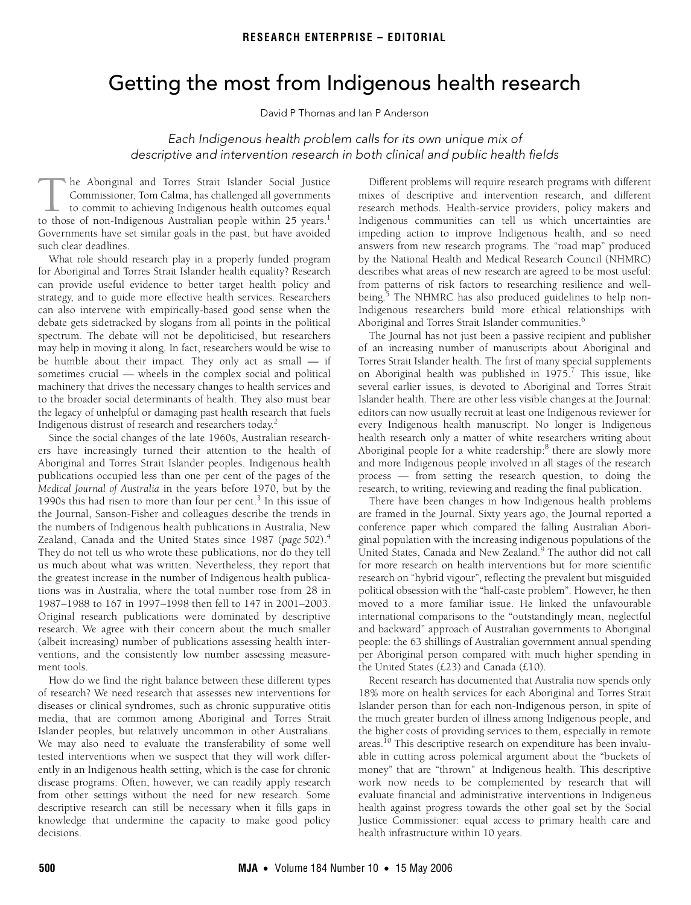# <span id="page-0-0"></span>Getting the most from Indigenous health research

David P Thomas and Ian P Anderson

## Each Indigenous health problem calls for its own unique mix of descriptive and intervention research in both clinical and public health fields

he Aboriginal and Torres Strait Islander Social Justice Commissioner, Tom Calma, has challenged all governments to commit to achieving Indigenous health outcomes equal The Aboriginal and Torres Strait Islander Social Justice<br>Commissioner, Tom Calma, has challenged all governments<br>to commit to achieving Indigenous health outcomes equal<br>to those of non-Indigenous Australian people within 2 Governments have set similar goals in the past, but have avoided such clear deadlines.

What role should research play in a properly funded program  $\frac{7018}{1000}$ can provide useful evidence to better target health policy and strategy, and to guide more effective health services. Researchers can also intervene with empirically-based good sense when the for Aboriginal and Torres Strait [Isla](#page-0-0)[nder](#page-1-9) health equality? Research debate gets sidetracked by slogans from all points in the political spectrum. The debate will not be depoliticised, but researchers may help in moving it along. In fact, researchers would be wise to be humble about their impact. They only act as small — if sometimes crucial — wheels in the complex social and political machinery that drives the necessary changes to health services and to the broader social determinants of health. They also must bear the legacy of unhelpful or damaging past health research that fuels Indigenous distrust of research and researchers today.[2](#page-1-1)

Since the social changes of the late 1960s, Australian researchers have increasingly turned their attention to the health of Aboriginal and Torres Strait Islander peoples. Indigenous health publications occupied less than one per cent of the pages of the *Medical Journal of Australia* in the years before 1970, but by the 1990s this had risen to more than four per cent.<sup>3</sup> In this issue of the Journal, Sanson-Fisher and colleagues describe the trends in the numbers of Indigenous health publications in Australia, New Zealand, Canada and the United States since 1987 (*page 502*).[4](#page-1-3) They do not tell us who wrote these publications, nor do they tell us much about what was written. Nevertheless, they report that the greatest increase in the number of Indigenous health publications was in Australia, where the total number rose from 28 in 1987–1988 to 167 in 1997–1998 then fell to 147 in 2001–2003. Original research publications were dominated by descriptive research. We agree with their concern about the much smaller (albeit increasing) number of publications assessing health interventions, and the consistently low number assessing measurement tools.

How do we find the right balance between these different types of research? We need research that assesses new interventions for diseases or clinical syndromes, such as chronic suppurative otitis media, that are common among Aboriginal and Torres Strait Islander peoples, but relatively uncommon in other Australians. We may also need to evaluate the transferability of some well tested interventions when we suspect that they will work differently in an Indigenous health setting, which is the case for chronic disease programs. Often, however, we can readily apply research from other settings without the need for new research. Some descriptive research can still be necessary when it fills gaps in knowledge that undermine the capacity to make good policy decisions.

Different problems will require research programs with different mixes of descriptive and intervention research, and different research methods. Health-service providers, policy makers and Indigenous communities can tell us which uncertainties are impeding action to improve Indigenous health, and so need answers from new research programs. The "road map" produced by the National Health and Medical Research Council (NHMRC) describes what areas of new research are agreed to be most useful: from patterns of risk factors to researching resilience and well-being.<sup>[5](#page-1-4)</sup> The NHMRC has also produced guidelines to help non-Indigenous researchers build more ethical relationships with Aboriginal and Torres Strait Islander communities.<sup>[6](#page-1-5)</sup>

The Journal has not just been a passive recipient and publisher of an increasing number of manuscripts about Aboriginal and Torres Strait Islander health. The first of many special supplements on Aboriginal health was published in 19[7](#page-1-6)5.<sup>7</sup> This issue, like several earlier issues, is devoted to Aboriginal and Torres Strait Islander health. There are other less visible changes at the Journal: editors can now usually recruit at least one Indigenous reviewer for every Indigenous health manuscript. No longer is Indigenous health research only a matter of white researchers writing about Aboriginal people for a white readership:<sup>8</sup> there are slowly more and more Indigenous people involved in all stages of the research process — from setting the research question, to doing the research, to writing, reviewing and reading the final publication.

There have been changes in how Indigenous health problems are framed in the Journal. Sixty years ago, the Journal reported a conference paper which compared the falling Australian Aboriginal population with the increasing indigenous populations of the United States, Canada and New Zealand.<sup>[9](#page-1-8)</sup> The author did not call for more research on health interventions but for more scientific research on "hybrid vigour", reflecting the prevalent but misguided political obsession with the "half-caste problem". However, he then moved to a more familiar issue. He linked the unfavourable international comparisons to the "outstandingly mean, neglectful and backward" approach of Australian governments to Aboriginal people: the 63 shillings of Australian government annual spending per Aboriginal person compared with much higher spending in the United States (£23) and Canada (£10).

Recent research has documented that Australia now spends only 18% more on health services for each Aboriginal and Torres Strait Islander person than for each non-Indigenous person, in spite of the much greater burden of illness among Indigenous people, and the higher costs of providing services to them, especially in remote areas.<sup>10</sup> This descriptive research on expenditure has been invaluable in cutting across polemical argument about the "buckets of money" that are "thrown" at Indigenous health. This descriptive work now needs to be complemented by research that will evaluate financial and administrative interventions in Indigenous health against progress towards the other goal set by the Social Justice Commissioner: equal access to primary health care and health infrastructure within 10 years.